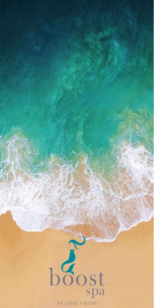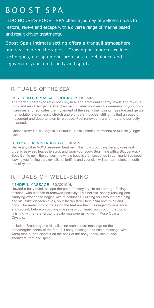# BOOST SPA

LIDO HOUSE'S BOOST SPA offers a journey of wellness rituals to restore, revive and escape with a diverse range of marine based and result driven treatments.

Boost Spa's intimate setting offers a tranquil atmosphere and sea inspired therapies. Drawing on modern wellness techniques, our spa menu promises to rebalance and rejuvenate your mind, body and spirit.

### RITUALS OF THE SEA

#### RESTORATIVE MASSAGE JOURNEY | 80 MIN.

The perfect therapy to raise both physical and emotional energy levels and re-unite body and mind. As gentle stretches help quieten your mind, awareness of your body increases and replicates the movement of the sea, - the flowing massage and gentle manipulations effortlessly stretch and elongate muscles, stiff joints find an ease of movement and deep tension is released. Feel renewed, transformed and perfectly balanced.

Choose from: Uplift (Angelicus Serratus), Relax (Mindful Moments) or Muscle (Ginger Chai).

#### ULTIMATE REVIVER RITUAL | 80 MIN.

Unlike any other VOYA seaweed treatment, this truly grounding therapy uses real organic seaweed leaves to scrub and wrap your body. Beginning with a Bladderwrack Body Buff to uplift the senses, the whole body is then cocooned in Laminaria Seaweed leaving you feeling truly revitalized, fortified and your skin will appear radiant, smooth and silky soft.

## RITUALS OF WELL-BEING

#### MINDFUL MASSAGE | 50/80 MIN.

Unwind a busy mind, escape the pace of everyday life and emerge feeling focused, with a sense of renewed positivity. This holistic, deeply relaxing and clarifying experience begins with mindfulness. Guiding you through breathing and visualization techniques, your therapist will help calm both mind and body. The metamorphic zones on the feet are then massaged to rebalance and ground, before a soothing massage is continued up through the body, finishing with a re-energizing scalp massage using warm Rose Quartz Crystals.

Includes: Breathing and visualization techniques, massage on the metamorphic zones of the feet, full body massage and scalp massage with warm rose quartz crystals on the back of the body, head, scalp, neck, shoulders, feet and spine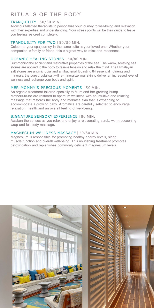## RITUALS OF THE BODY

#### TRANQUILITY | 50/80 MIN.

Allow our talented therapists to personalize your journey to well-being and relaxation with their expertise and understanding. Your stress points will be their guide to leave you feeling restored completely.

#### TRANQUILITY FOR TWO | 50/80 MIN.

Celebrate your spa journey in the same suite as your loved one. Whether your companion is family or friend, this is a great way to relax and reconnect.

#### OCEANIC HEALING STONES | 50/80 MIN.

Summoning the ancient and restorative properties of the sea. The warm, soothing salt stones are applied to the body to relieve tension and relax the mind. The Himalayan salt stones are antimicrobial and antibacterial. Boasting 84 essential nutrients and minerals, the pure crystal salt will re-mineralize your skin to deliver an increased level of wellness and recharge your body and spirit.

#### MER-MOMMY'S PRECIOUS MOMENTS | 50 MIN.

An organic treatment tailored specially to Mum and her growing bump. Mothers-to-be are restored to optimum wellness with an intuitive and relaxing massage that restores the body and hydrates skin that is expanding to accommodate a growing baby. Aromatics are carefully selected to encourage relaxation, health and an overall feeling of well-being.

#### SIGNATURE SENSORY EXPERIENCE | 80 MIN.

Awaken the senses as you relax and enjoy a rejuvenating scrub, warm cocooning wrap and full body massage.

#### MAGNESIUM WELLNESS MASSAGE | 50/80 MIN.

Magnesium is responsible for promoting healthy energy levels, sleep, muscle function and overall well-being. This nourishing treatment promotes detoxification and replenishes commonly deficient magnesium levels.

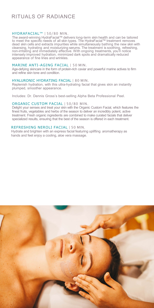## RITUALS OF RADIANCE

#### HYDRAFACIAL™ | 50/80 MIN.

The award-winning HydraFacial™ delivers long-term skin health and can be tailored to meet the specific needs of all skin types. The HydraFacial™ treatment removes dead skin cells and extracts impurities while simultaneously bathing the new skin with cleansing, hydrating and moisturizing serums. The treatment is soothing, refreshing, non-irritating and immediately effective. With ongoing treatments, you'll notice intensely improved hydration, minimized dark spots and dramatically reduced appearance of fine lines and wrinkles.

#### MARINE ANTI-AGING FACIAL | 50 MIN.

Age-defying skincare in the form of protein-rich caviar and powerful marine actives to firm and refine skin tone and condition.

#### HYALURONIC HYDRATING FACIAL | 80 MIN.

Replenish hydration, with this ultra-hydrating facial that gives skin an instantly plumped, smoother appearance.

Includes: Dr. Dennis Gross's best-selling Alpha Beta Professional Peel.

#### ORGANIC CUSTOM FACIAL | 50/80 MIN.

Delight your senses and treat your skin with the Organic Custom Facial, which features the finest fruits, vegetables and herbs of the season to deliver an incredibly potent, active treatment. Fresh organic ingredients are combined to make curated facials that deliver specialized results, ensuring that the best of the season is offered in each treatment.

#### REFRESHING NEROLI FACIAL | 50 MIN.

Hydrate and brighten with an express facial featuring uplifting aromatherapy as hands and feet enjoy a cooling, aloe vera massage.

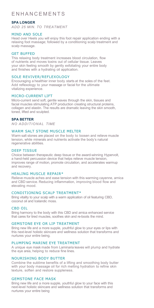### **FNHANCEMENTS**

#### **SPA LONGER**

*ADD 25 MIN. TO TREATMENT*

#### MIND AND SOLE

Head over Heels you will enjoy this foot repair application ending with a relaxing foot massage; followed by a conditioning scalp treatment and scalp massage.

#### GET BUFFED

This relaxing body treatment increases blood circulation, flow of nutrients and moves toxins out of cellular tissue. Leaves your skin feeling smooth by gently exfoliating your entire body and finishes with a hydrating oil application.

#### SOLE REVIVER/REFLEXOLOGY

Encouraging a healthier inner body starts at the soles of the feet. Add reflexology to your massage or facial for the ultimate vitalizing experience.

#### MICRO-CURRENT LIFT

Micro-current send soft, gentle waves through the skin, tissues and facial muscles stimulating ATP production creating structural proteins, collagen and elastin. The results are dramatic leaving the skin smooth, toned, lifted and sculpted.

#### **SPA BETTER**

*NO ADDITIONAL TIME*

#### WARM SALT STONE MUSCLE MELTER

Warm salt stones are placed on the body to loosen and relieve muscle tension, while minerals and nutrients activate the body's natural regenerative abilities.

#### DEEP TISSUE

Choice between therapeutic deep tissue or the award-winning Hypervolt, a hand-held percussion device that helps relieve muscle tension, improves range of motion, promote circulation, and accelerates warmup and recovery.

#### HEALING MUSCLE REPAIR\*

Relieve muscle aches and ease tension with this warming cayenne, arnica and CBD service. Reducing inflammation, improving blood flow and elevating mood.

#### CONDITIONING SCALP TREATMENT\*

Bring vitality to your scalp with a warm application of oil featuring CBD, coconut oil and Icelandic moss.

#### CBD OIL

Bring harmony to the body with this CBD and arnica enhanced service that cares for tired muscles, soothes skin and re-boots the mind.

#### GEMSTONE EYE OR LIP TREATMENT

Bring new life and a more supple, youthful glow to your eyes or lips with this next-level holistic skincare and wellness solution that transforms and nurtures your entire being.

#### PLUMPING MARINE EYE TREATMENT

A unique eye mask made from Laminaria leaves will plump and hydrate the eye area, helping to reduce fine lines.

#### NOURISHING BODY BUTTER

Combine the sublime benefits of a lifting and smoothing body butter with your body massage oil for rich melting hydration to refine skin texture, soften and restore suppleness.

#### GEMSTONE FACE MASK

Bring new life and a more supple, youthful glow to your face with this next-level holistic skincare and wellness solution that transforms and nurtures your entire being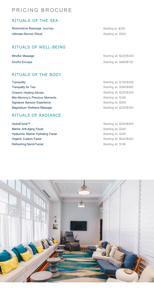## PRICING BROCURE

### RITUALS OF THE SEA

Restorative Massage Journey **Starting at: \$320** Starting at: \$320 Ultimate Reviver Ritual and Starting at: \$300

### RITUALS OF WELL-BEING

### RITUALS OF THE BODY

Tranquility Starting at: \$190/\$290 Tranquility for Two **Starting at:** \$380/\$580 Oceanic Healing Stones Starting at: \$220/\$320 Mer-Mommy's Precious Moments **Starting at: \$190** Starting at: \$190 Signature Sensory Experience Starting at: \$300 Magnesium Wellness Massage Starting at: \$220/\$320

### RITUALS OF RADIANCE

HydraFacial™ Starting at: \$320/\$400 Marine Anti-Aging Facial Starting at: \$240 Hyaluronic Marine Hydrating Facial **Starting at: \$320** Starting at: \$320 Organic Custom Facial Starting at: \$220/\$320 Refreshing Neroli Facial **Starting at: \$190** Starting at: \$190

Mindful Massage Starting at: \$220/\$320 Soulful Escape Soulful Escape Starting at: \$480/\$720